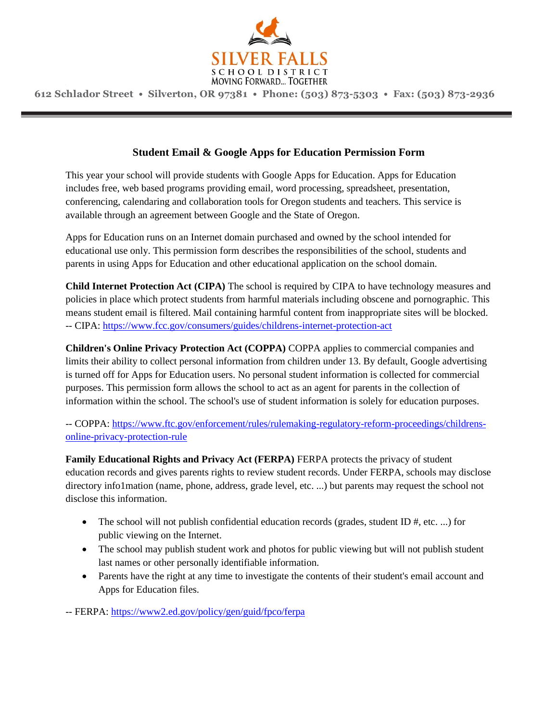

# **Student Email & Google Apps for Education Permission Form**

This year your school will provide students with Google Apps for Education. Apps for Education includes free, web based programs providing email, word processing, spreadsheet, presentation, conferencing, calendaring and collaboration tools for Oregon students and teachers. This service is available through an agreement between Google and the State of Oregon.

Apps for Education runs on an Internet domain purchased and owned by the school intended for educational use only. This permission form describes the responsibilities of the school, students and parents in using Apps for Education and other educational application on the school domain.

**Child Internet Protection Act (CIPA)** The school is required by CIPA to have technology measures and policies in place which protect students from harmful materials including obscene and pornographic. This means student email is filtered. Mail containing harmful content from inappropriate sites will be blocked. -- CIPA:<https://www.fcc.gov/consumers/guides/childrens-internet-protection-act>

**Children's Online Privacy Protection Act (COPPA)** COPPA applies to commercial companies and limits their ability to collect personal information from children under 13. By default, Google advertising is turned off for Apps for Education users. No personal student information is collected for commercial purposes. This permission form allows the school to act as an agent for parents in the collection of information within the school. The school's use of student information is solely for education purposes.

-- COPPA: [https://www.ftc.gov/enforcement/rules/rulemaking-regulatory-reform-proceedings/childrens](https://www.ftc.gov/enforcement/rules/rulemaking-regulatory-reform-proceedings/childrens-online-privacy-protection-rule)[online-privacy-protection-rule](https://www.ftc.gov/enforcement/rules/rulemaking-regulatory-reform-proceedings/childrens-online-privacy-protection-rule)

**Family Educational Rights and Privacy Act (FERPA)** FERPA protects the privacy of student education records and gives parents rights to review student records. Under FERPA, schools may disclose directory info1mation (name, phone, address, grade level, etc. ...) but parents may request the school not disclose this information.

- The school will not publish confidential education records (grades, student ID  $#$ , etc. ...) for public viewing on the Internet.
- The school may publish student work and photos for public viewing but will not publish student last names or other personally identifiable information.
- Parents have the right at any time to investigate the contents of their student's email account and Apps for Education files.

-- FERPA: <https://www2.ed.gov/policy/gen/guid/fpco/ferpa>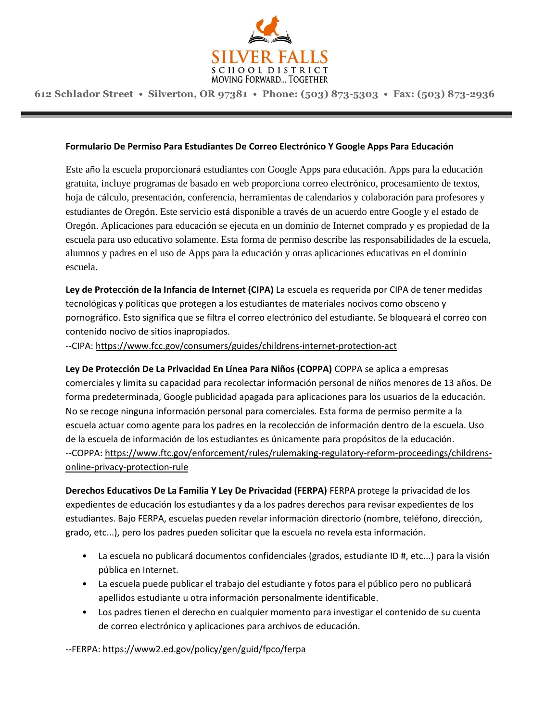

#### **Formulario De Permiso Para Estudiantes De Correo Electrónico Y Google Apps Para Educación**

Este año la escuela proporcionará estudiantes con Google Apps para educación. Apps para la educación gratuita, incluye programas de basado en web proporciona correo electrónico, procesamiento de textos, hoja de cálculo, presentación, conferencia, herramientas de calendarios y colaboración para profesores y estudiantes de Oregón. Este servicio está disponible a través de un acuerdo entre Google y el estado de Oregón. Aplicaciones para educación se ejecuta en un dominio de Internet comprado y es propiedad de la escuela para uso educativo solamente. Esta forma de permiso describe las responsabilidades de la escuela, alumnos y padres en el uso de Apps para la educación y otras aplicaciones educativas en el dominio escuela.

**Ley de Protección de la Infancia de Internet (CIPA)** La escuela es requerida por CIPA de tener medidas tecnológicas y políticas que protegen a los estudiantes de materiales nocivos como obsceno y pornográfico. Esto significa que se filtra el correo electrónico del estudiante. Se bloqueará el correo con contenido nocivo de sitios inapropiados.

--CIPA: https://www.fcc.gov/consumers/guides/childrens-internet-protection-act

**Ley De Protección De La Privacidad En Línea Para Niños (COPPA)** COPPA se aplica a empresas comerciales y limita su capacidad para recolectar información personal de niños menores de 13 años. De forma predeterminada, Google publicidad apagada para aplicaciones para los usuarios de la educación. No se recoge ninguna información personal para comerciales. Esta forma de permiso permite a la escuela actuar como agente para los padres en la recolección de información dentro de la escuela. Uso de la escuela de información de los estudiantes es únicamente para propósitos de la educación. --COPPA: https://www.ftc.gov/enforcement/rules/rulemaking-regulatory-reform-proceedings/childrensonline-privacy-protection-rule

**Derechos Educativos De La Familia Y Ley De Privacidad (FERPA)** FERPA protege la privacidad de los expedientes de educación los estudiantes y da a los padres derechos para revisar expedientes de los estudiantes. Bajo FERPA, escuelas pueden revelar información directorio (nombre, teléfono, dirección, grado, etc...), pero los padres pueden solicitar que la escuela no revela esta información.

- La escuela no publicará documentos confidenciales (grados, estudiante ID #, etc...) para la visión pública en Internet.
- La escuela puede publicar el trabajo del estudiante y fotos para el público pero no publicará apellidos estudiante u otra información personalmente identificable.
- Los padres tienen el derecho en cualquier momento para investigar el contenido de su cuenta de correo electrónico y aplicaciones para archivos de educación.

--FERPA: https://www2.ed.gov/policy/gen/guid/fpco/ferpa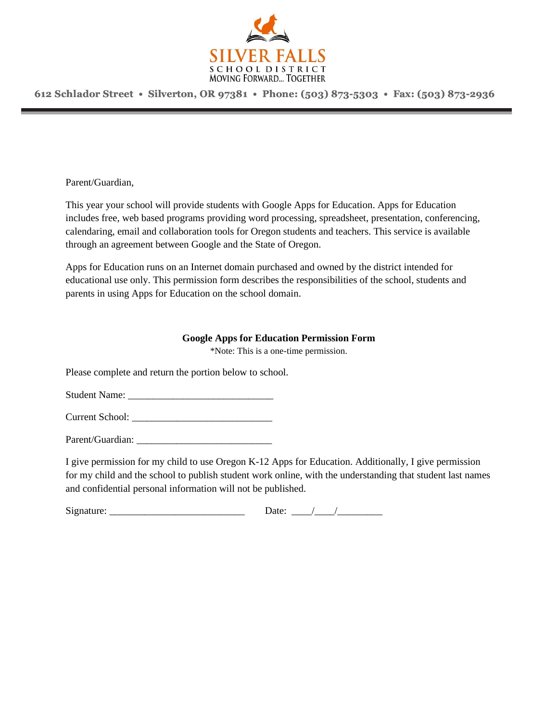

Parent/Guardian,

This year your school will provide students with Google Apps for Education. Apps for Education includes free, web based programs providing word processing, spreadsheet, presentation, conferencing, calendaring, email and collaboration tools for Oregon students and teachers. This service is available through an agreement between Google and the State of Oregon.

Apps for Education runs on an Internet domain purchased and owned by the district intended for educational use only. This permission form describes the responsibilities of the school, students and parents in using Apps for Education on the school domain.

### **Google Apps for Education Permission Form**

\*Note: This is a one-time permission.

Please complete and return the portion below to school.

Student Name: \_\_\_\_\_\_\_\_\_\_\_\_\_\_\_\_\_\_\_\_\_\_\_\_\_\_\_\_\_

Current School:

Parent/Guardian: \_\_\_\_\_\_\_\_\_\_\_\_\_\_\_\_\_\_\_\_\_\_\_\_\_\_\_

I give permission for my child to use Oregon K-12 Apps for Education. Additionally, I give permission for my child and the school to publish student work online, with the understanding that student last names and confidential personal information will not be published.

 $Signature:$  Date:  $\frac{1}{2}$  Date:  $\frac{1}{2}$  Date:  $\frac{1}{2}$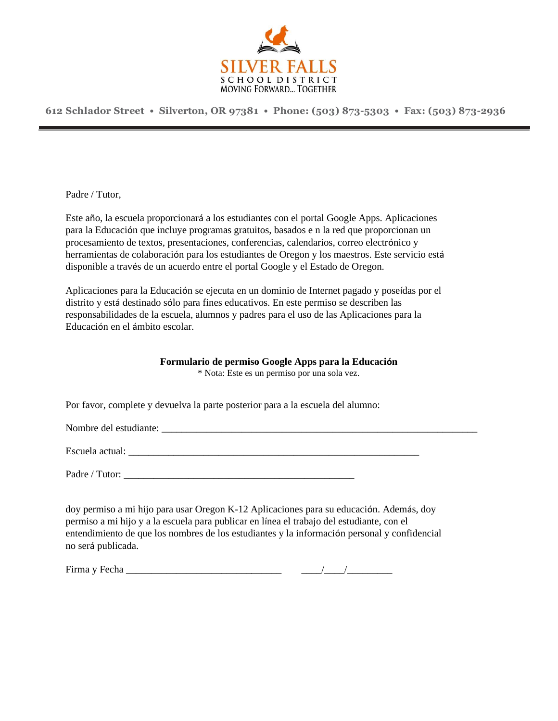

Padre / Tutor,

Este año, la escuela proporcionará a los estudiantes con el portal Google Apps. Aplicaciones para la Educación que incluye programas gratuitos, basados e n la red que proporcionan un procesamiento de textos, presentaciones, conferencias, calendarios, correo electrónico y herramientas de colaboración para los estudiantes de Oregon y los maestros. Este servicio está disponible a través de un acuerdo entre el portal Google y el Estado de Oregon.

Aplicaciones para la Educación se ejecuta en un dominio de Internet pagado y poseídas por el distrito y está destinado sólo para fines educativos. En este permiso se describen las responsabilidades de la escuela, alumnos y padres para el uso de las Aplicaciones para la Educación en el ámbito escolar.

### **Formulario de permiso Google Apps para la Educación**

\* Nota: Este es un permiso por una sola vez.

Por favor, complete y devuelva la parte posterior para a la escuela del alumno:

Nombre del estudiante:

Escuela actual:

Padre / Tutor: \_\_\_\_\_\_\_\_\_\_\_\_\_\_\_\_\_\_\_\_\_\_\_\_\_\_\_\_\_\_\_\_\_\_\_\_\_\_\_\_\_\_\_\_\_\_

doy permiso a mi hijo para usar Oregon K-12 Aplicaciones para su educación. Además, doy permiso a mi hijo y a la escuela para publicar en línea el trabajo del estudiante, con el entendimiento de que los nombres de los estudiantes y la información personal y confidencial no será publicada.

Firma y Fecha \_\_\_\_\_\_\_\_\_\_\_\_\_\_\_\_\_\_\_\_\_\_\_\_\_\_\_\_\_\_\_ \_\_\_\_/\_\_\_\_/\_\_\_\_\_\_\_\_\_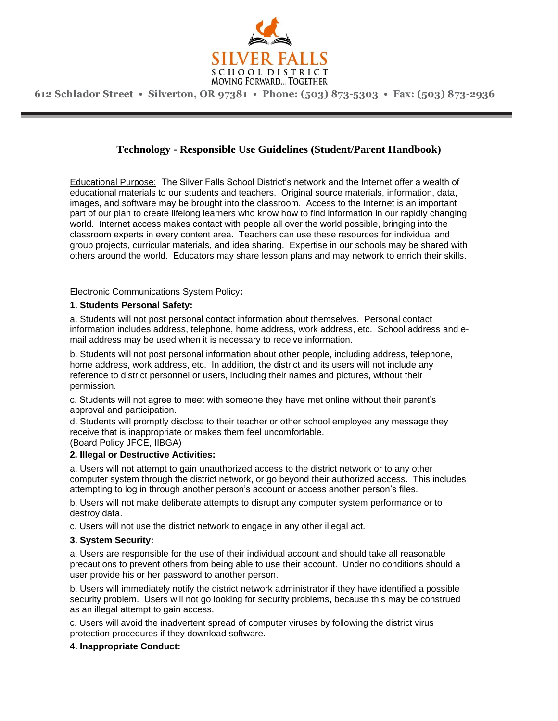

# **Technology - Responsible Use Guidelines (Student/Parent Handbook)**

Educational Purpose: The Silver Falls School District's network and the Internet offer a wealth of educational materials to our students and teachers. Original source materials, information, data, images, and software may be brought into the classroom. Access to the Internet is an important part of our plan to create lifelong learners who know how to find information in our rapidly changing world. Internet access makes contact with people all over the world possible, bringing into the classroom experts in every content area. Teachers can use these resources for individual and group projects, curricular materials, and idea sharing. Expertise in our schools may be shared with others around the world. Educators may share lesson plans and may network to enrich their skills.

#### Electronic Communications System Policy**:**

#### **1. Students Personal Safety:**

a. Students will not post personal contact information about themselves. Personal contact information includes address, telephone, home address, work address, etc. School address and email address may be used when it is necessary to receive information.

b. Students will not post personal information about other people, including address, telephone, home address, work address, etc. In addition, the district and its users will not include any reference to district personnel or users, including their names and pictures, without their permission.

c. Students will not agree to meet with someone they have met online without their parent's approval and participation.

d. Students will promptly disclose to their teacher or other school employee any message they receive that is inappropriate or makes them feel uncomfortable. (Board Policy JFCE, IIBGA)

#### **2. Illegal or Destructive Activities:**

a. Users will not attempt to gain unauthorized access to the district network or to any other computer system through the district network, or go beyond their authorized access. This includes attempting to log in through another person's account or access another person's files.

b. Users will not make deliberate attempts to disrupt any computer system performance or to destroy data.

c. Users will not use the district network to engage in any other illegal act.

#### **3. System Security:**

a. Users are responsible for the use of their individual account and should take all reasonable precautions to prevent others from being able to use their account. Under no conditions should a user provide his or her password to another person.

b. Users will immediately notify the district network administrator if they have identified a possible security problem. Users will not go looking for security problems, because this may be construed as an illegal attempt to gain access.

c. Users will avoid the inadvertent spread of computer viruses by following the district virus protection procedures if they download software.

#### **4. Inappropriate Conduct:**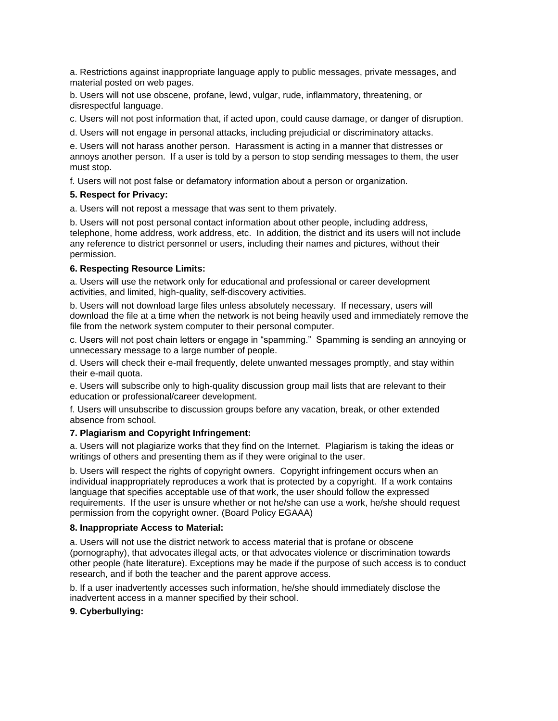a. Restrictions against inappropriate language apply to public messages, private messages, and material posted on web pages.

b. Users will not use obscene, profane, lewd, vulgar, rude, inflammatory, threatening, or disrespectful language.

c. Users will not post information that, if acted upon, could cause damage, or danger of disruption.

d. Users will not engage in personal attacks, including prejudicial or discriminatory attacks.

e. Users will not harass another person. Harassment is acting in a manner that distresses or annoys another person. If a user is told by a person to stop sending messages to them, the user must stop.

f. Users will not post false or defamatory information about a person or organization.

### **5. Respect for Privacy:**

a. Users will not repost a message that was sent to them privately.

b. Users will not post personal contact information about other people, including address, telephone, home address, work address, etc. In addition, the district and its users will not include any reference to district personnel or users, including their names and pictures, without their permission.

### **6. Respecting Resource Limits:**

a. Users will use the network only for educational and professional or career development activities, and limited, high-quality, self-discovery activities.

b. Users will not download large files unless absolutely necessary. If necessary, users will download the file at a time when the network is not being heavily used and immediately remove the file from the network system computer to their personal computer.

c. Users will not post chain letters or engage in "spamming." Spamming is sending an annoying or unnecessary message to a large number of people.

d. Users will check their e-mail frequently, delete unwanted messages promptly, and stay within their e-mail quota.

e. Users will subscribe only to high-quality discussion group mail lists that are relevant to their education or professional/career development.

f. Users will unsubscribe to discussion groups before any vacation, break, or other extended absence from school.

### **7. Plagiarism and Copyright Infringement:**

a. Users will not plagiarize works that they find on the Internet. Plagiarism is taking the ideas or writings of others and presenting them as if they were original to the user.

b. Users will respect the rights of copyright owners. Copyright infringement occurs when an individual inappropriately reproduces a work that is protected by a copyright. If a work contains language that specifies acceptable use of that work, the user should follow the expressed requirements. If the user is unsure whether or not he/she can use a work, he/she should request permission from the copyright owner. (Board Policy EGAAA)

### **8. Inappropriate Access to Material:**

a. Users will not use the district network to access material that is profane or obscene (pornography), that advocates illegal acts, or that advocates violence or discrimination towards other people (hate literature). Exceptions may be made if the purpose of such access is to conduct research, and if both the teacher and the parent approve access.

b. If a user inadvertently accesses such information, he/she should immediately disclose the inadvertent access in a manner specified by their school.

### **9. Cyberbullying:**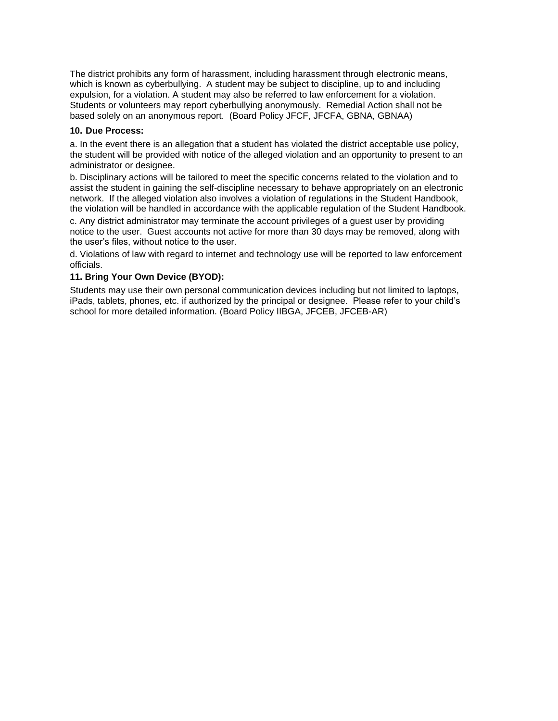The district prohibits any form of harassment, including harassment through electronic means, which is known as cyberbullying. A student may be subject to discipline, up to and including expulsion, for a violation. A student may also be referred to law enforcement for a violation. Students or volunteers may report cyberbullying anonymously. Remedial Action shall not be based solely on an anonymous report. (Board Policy JFCF, JFCFA, GBNA, GBNAA)

#### **10. Due Process:**

a. In the event there is an allegation that a student has violated the district acceptable use policy, the student will be provided with notice of the alleged violation and an opportunity to present to an administrator or designee.

b. Disciplinary actions will be tailored to meet the specific concerns related to the violation and to assist the student in gaining the self-discipline necessary to behave appropriately on an electronic network. If the alleged violation also involves a violation of regulations in the Student Handbook, the violation will be handled in accordance with the applicable regulation of the Student Handbook.

c. Any district administrator may terminate the account privileges of a guest user by providing notice to the user. Guest accounts not active for more than 30 days may be removed, along with the user's files, without notice to the user.

d. Violations of law with regard to internet and technology use will be reported to law enforcement officials.

#### **11. Bring Your Own Device (BYOD):**

Students may use their own personal communication devices including but not limited to laptops, iPads, tablets, phones, etc. if authorized by the principal or designee. Please refer to your child's school for more detailed information. (Board Policy IIBGA, JFCEB, JFCEB-AR)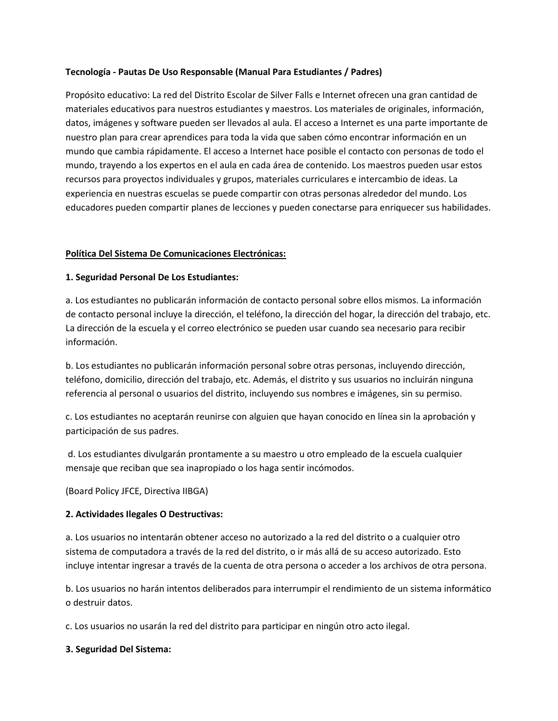### **Tecnología - Pautas De Uso Responsable (Manual Para Estudiantes / Padres)**

Propósito educativo: La red del Distrito Escolar de Silver Falls e Internet ofrecen una gran cantidad de materiales educativos para nuestros estudiantes y maestros. Los materiales de originales, información, datos, imágenes y software pueden ser llevados al aula. El acceso a Internet es una parte importante de nuestro plan para crear aprendices para toda la vida que saben cómo encontrar información en un mundo que cambia rápidamente. El acceso a Internet hace posible el contacto con personas de todo el mundo, trayendo a los expertos en el aula en cada área de contenido. Los maestros pueden usar estos recursos para proyectos individuales y grupos, materiales curriculares e intercambio de ideas. La experiencia en nuestras escuelas se puede compartir con otras personas alrededor del mundo. Los educadores pueden compartir planes de lecciones y pueden conectarse para enriquecer sus habilidades.

# **Política Del Sistema De Comunicaciones Electrónicas:**

### **1. Seguridad Personal De Los Estudiantes:**

a. Los estudiantes no publicarán información de contacto personal sobre ellos mismos. La información de contacto personal incluye la dirección, el teléfono, la dirección del hogar, la dirección del trabajo, etc. La dirección de la escuela y el correo electrónico se pueden usar cuando sea necesario para recibir información.

b. Los estudiantes no publicarán información personal sobre otras personas, incluyendo dirección, teléfono, domicilio, dirección del trabajo, etc. Además, el distrito y sus usuarios no incluirán ninguna referencia al personal o usuarios del distrito, incluyendo sus nombres e imágenes, sin su permiso.

c. Los estudiantes no aceptarán reunirse con alguien que hayan conocido en línea sin la aprobación y participación de sus padres.

d. Los estudiantes divulgarán prontamente a su maestro u otro empleado de la escuela cualquier mensaje que reciban que sea inapropiado o los haga sentir incómodos.

(Board Policy JFCE, Directiva IIBGA)

### **2. Actividades Ilegales O Destructivas:**

a. Los usuarios no intentarán obtener acceso no autorizado a la red del distrito o a cualquier otro sistema de computadora a través de la red del distrito, o ir más allá de su acceso autorizado. Esto incluye intentar ingresar a través de la cuenta de otra persona o acceder a los archivos de otra persona.

b. Los usuarios no harán intentos deliberados para interrumpir el rendimiento de un sistema informático o destruir datos.

c. Los usuarios no usarán la red del distrito para participar en ningún otro acto ilegal.

### **3. Seguridad Del Sistema:**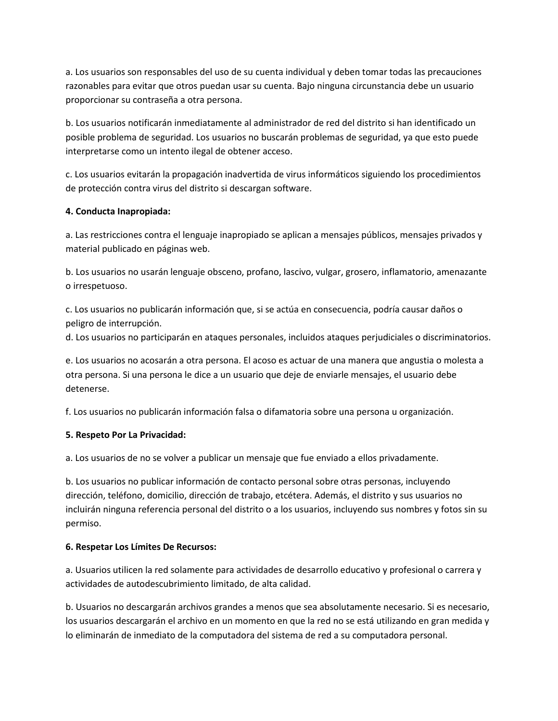a. Los usuarios son responsables del uso de su cuenta individual y deben tomar todas las precauciones razonables para evitar que otros puedan usar su cuenta. Bajo ninguna circunstancia debe un usuario proporcionar su contraseña a otra persona.

b. Los usuarios notificarán inmediatamente al administrador de red del distrito si han identificado un posible problema de seguridad. Los usuarios no buscarán problemas de seguridad, ya que esto puede interpretarse como un intento ilegal de obtener acceso.

c. Los usuarios evitarán la propagación inadvertida de virus informáticos siguiendo los procedimientos de protección contra virus del distrito si descargan software.

# **4. Conducta Inapropiada:**

a. Las restricciones contra el lenguaje inapropiado se aplican a mensajes públicos, mensajes privados y material publicado en páginas web.

b. Los usuarios no usarán lenguaje obsceno, profano, lascivo, vulgar, grosero, inflamatorio, amenazante o irrespetuoso.

c. Los usuarios no publicarán información que, si se actúa en consecuencia, podría causar daños o peligro de interrupción.

d. Los usuarios no participarán en ataques personales, incluidos ataques perjudiciales o discriminatorios.

e. Los usuarios no acosarán a otra persona. El acoso es actuar de una manera que angustia o molesta a otra persona. Si una persona le dice a un usuario que deje de enviarle mensajes, el usuario debe detenerse.

f. Los usuarios no publicarán información falsa o difamatoria sobre una persona u organización.

### **5. Respeto Por La Privacidad:**

a. Los usuarios de no se volver a publicar un mensaje que fue enviado a ellos privadamente.

b. Los usuarios no publicar información de contacto personal sobre otras personas, incluyendo dirección, teléfono, domicilio, dirección de trabajo, etcétera. Además, el distrito y sus usuarios no incluirán ninguna referencia personal del distrito o a los usuarios, incluyendo sus nombres y fotos sin su permiso.

### **6. Respetar Los Límites De Recursos:**

a. Usuarios utilicen la red solamente para actividades de desarrollo educativo y profesional o carrera y actividades de autodescubrimiento limitado, de alta calidad.

b. Usuarios no descargarán archivos grandes a menos que sea absolutamente necesario. Si es necesario, los usuarios descargarán el archivo en un momento en que la red no se está utilizando en gran medida y lo eliminarán de inmediato de la computadora del sistema de red a su computadora personal.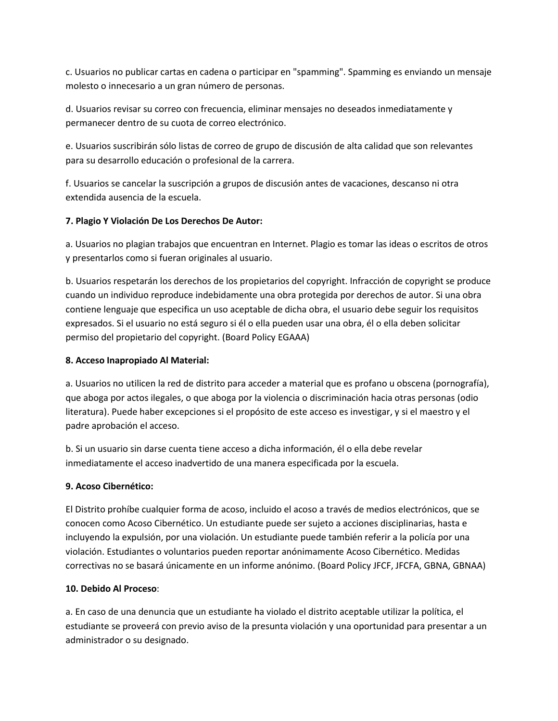c. Usuarios no publicar cartas en cadena o participar en "spamming". Spamming es enviando un mensaje molesto o innecesario a un gran número de personas.

d. Usuarios revisar su correo con frecuencia, eliminar mensajes no deseados inmediatamente y permanecer dentro de su cuota de correo electrónico.

e. Usuarios suscribirán sólo listas de correo de grupo de discusión de alta calidad que son relevantes para su desarrollo educación o profesional de la carrera.

f. Usuarios se cancelar la suscripción a grupos de discusión antes de vacaciones, descanso ni otra extendida ausencia de la escuela.

# **7. Plagio Y Violación De Los Derechos De Autor:**

a. Usuarios no plagian trabajos que encuentran en Internet. Plagio es tomar las ideas o escritos de otros y presentarlos como si fueran originales al usuario.

b. Usuarios respetarán los derechos de los propietarios del copyright. Infracción de copyright se produce cuando un individuo reproduce indebidamente una obra protegida por derechos de autor. Si una obra contiene lenguaje que especifica un uso aceptable de dicha obra, el usuario debe seguir los requisitos expresados. Si el usuario no está seguro si él o ella pueden usar una obra, él o ella deben solicitar permiso del propietario del copyright. (Board Policy EGAAA)

### **8. Acceso Inapropiado Al Material:**

a. Usuarios no utilicen la red de distrito para acceder a material que es profano u obscena (pornografía), que aboga por actos ilegales, o que aboga por la violencia o discriminación hacia otras personas (odio literatura). Puede haber excepciones si el propósito de este acceso es investigar, y si el maestro y el padre aprobación el acceso.

b. Si un usuario sin darse cuenta tiene acceso a dicha información, él o ella debe revelar inmediatamente el acceso inadvertido de una manera especificada por la escuela.

### **9. Acoso Cibernético:**

El Distrito prohíbe cualquier forma de acoso, incluido el acoso a través de medios electrónicos, que se conocen como Acoso Cibernético. Un estudiante puede ser sujeto a acciones disciplinarias, hasta e incluyendo la expulsión, por una violación. Un estudiante puede también referir a la policía por una violación. Estudiantes o voluntarios pueden reportar anónimamente Acoso Cibernético. Medidas correctivas no se basará únicamente en un informe anónimo. (Board Policy JFCF, JFCFA, GBNA, GBNAA)

### **10. Debido Al Proceso**:

a. En caso de una denuncia que un estudiante ha violado el distrito aceptable utilizar la política, el estudiante se proveerá con previo aviso de la presunta violación y una oportunidad para presentar a un administrador o su designado.